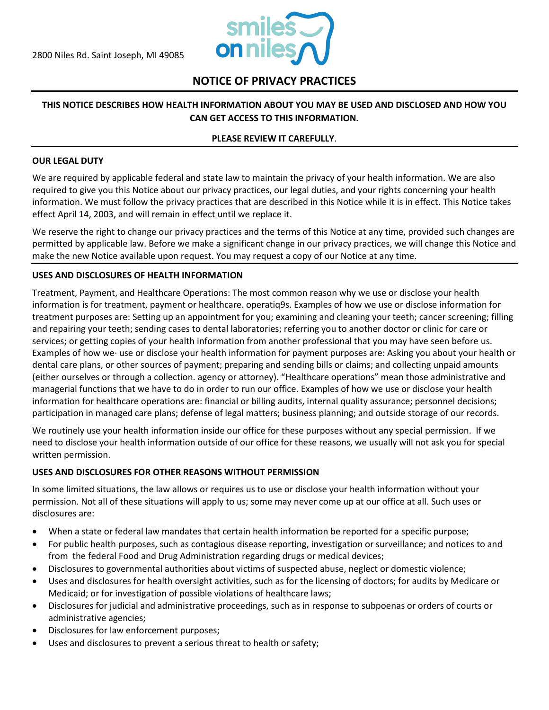

# **NOTICE OF PRIVACY PRACTICES**

## **THIS NOTICE DESCRIBES HOW HEALTH INFORMATION ABOUT YOU MAY BE USED AND DISCLOSED AND HOW YOU CAN GET ACCESS TO THIS INFORMATION.**

#### **PLEASE REVIEW IT CAREFULLY**.

#### **OUR LEGAL DUTY**

We are required by applicable federal and state law to maintain the privacy of your health information. We are also required to give you this Notice about our privacy practices, our legal duties, and your rights concerning your health information. We must follow the privacy practices that are described in this Notice while it is in effect. This Notice takes effect April 14, 2003, and will remain in effect until we replace it.

We reserve the right to change our privacy practices and the terms of this Notice at any time, provided such changes are permitted by applicable law. Before we make a significant change in our privacy practices, we will change this Notice and make the new Notice available upon request. You may request a copy of our Notice at any time.

#### **USES AND DISCLOSURES OF HEALTH INFORMATION**

Treatment, Payment, and Healthcare Operations: The most common reason why we use or disclose your health information is for treatment, payment or healthcare. operatiq9s. Examples of how we use or disclose information for treatment purposes are: Setting up an appointment for you; examining and cleaning your teeth; cancer screening; filling and repairing your teeth; sending cases to dental laboratories; referring you to another doctor or clinic for care or services; or getting copies of your health information from another professional that you may have seen before us. Examples of how we· use or disclose your health information for payment purposes are: Asking you about your health or dental care plans, or other sources of payment; preparing and sending bills or claims; and collecting unpaid amounts (either ourselves or through a collection. agency or attorney). "Healthcare operations" mean those administrative and managerial functions that we have to do in order to run our office. Examples of how we use or disclose your health information for healthcare operations are: financial or billing audits, internal quality assurance; personnel decisions; participation in managed care plans; defense of legal matters; business planning; and outside storage of our records.

We routinely use your health information inside our office for these purposes without any special permission. If we need to disclose your health information outside of our office for these reasons, we usually will not ask you for special written permission.

#### **USES AND DISCLOSURES FOR OTHER REASONS WITHOUT PERMISSION**

In some limited situations, the law allows or requires us to use or disclose your health information without your permission. Not all of these situations will apply to us; some may never come up at our office at all. Such uses or disclosures are:

- When a state or federal law mandates that certain health information be reported for a specific purpose;
- For public health purposes, such as contagious disease reporting, investigation or surveillance; and notices to and from the federal Food and Drug Administration regarding drugs or medical devices;
- Disclosures to governmental authorities about victims of suspected abuse, neglect or domestic violence;
- Uses and disclosures for health oversight activities, such as for the licensing of doctors; for audits by Medicare or Medicaid; or for investigation of possible violations of healthcare laws;
- Disclosures for judicial and administrative proceedings, such as in response to subpoenas or orders of courts or administrative agencies;
- Disclosures for law enforcement purposes;
- Uses and disclosures to prevent a serious threat to health or safety;